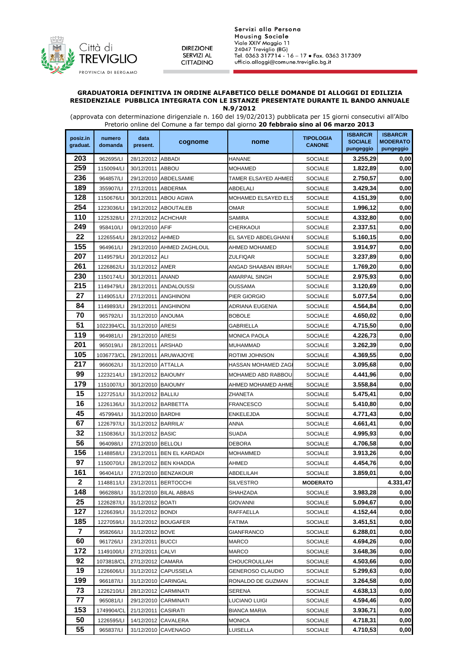

**DIREZIONE** SERVIZI AL CITTADINO Servizi alla Persona **Housing Sociale** Viale XXIV Maggio 11 24047 Treviglio (BG)<br>Tel. 0363 317714 - 16 – 17 ● Fax. 0363 317309 ufficio.alloggi@comune.treviglio.bg.it

## **GRADUATORIA DEFINITIVA IN ORDINE ALFABETICO DELLE DOMANDE DI ALLOGGI DI EDILIZIA RESIDENZIALE PUBBLICA INTEGRATA CON LE ISTANZE PRESENTATE DURANTE IL BANDO ANNUALE**

**N.9/2012** 

(approvata con determinazione dirigenziale n. 160 del 19/02/2013) pubblicata per 15 giorni consecutivi all'Albo Pretorio online del Comune a far tempo dal giorno **20 febbraio sino al 06 marzo 2013** 

| posiz.in       | numero                  | data                |                           |                               | <b>ISBARC/R</b><br><b>TIPOLOGIA</b> | <b>ISBARC/R</b>             |                              |
|----------------|-------------------------|---------------------|---------------------------|-------------------------------|-------------------------------------|-----------------------------|------------------------------|
| graduat.       | domanda                 | present.            | cognome                   | nome                          | <b>CANONE</b>                       | <b>SOCIALE</b><br>pungeggio | <b>MODERATO</b><br>pungeggio |
| 203            | 962695/LI               | 28/12/2012 ABBADI   |                           | HANANE                        | <b>SOCIALE</b>                      | 3.255,29                    | 0,00                         |
| 259            | 1150094/LI              | 30/12/2011 ABBOU    |                           | MOHAMED                       | <b>SOCIALE</b>                      | 1.822,89                    | 0,00                         |
| 236            | 964857/LI               |                     | 29/12/2010 ABDELSAMIE     | TAMER ELSAYED AHMED           | <b>SOCIALE</b>                      | 2.750,57                    | 0,00                         |
| 189            | 355907/LI               | 27/12/2011 ABDERMA  |                           | ABDELALI                      | <b>SOCIALE</b>                      | 3.429,34                    | 0,00                         |
| 128            | 1150676/LI              |                     | 30/12/2011 ABOU AGWA      | MOHAMED ELSAYED ELS           | <b>SOCIALE</b>                      | 4.151,39                    | 0,00                         |
| 254            | 1223036/LI              |                     | 19/12/2012 ABOUTALEB      | OMAR                          | <b>SOCIALE</b>                      | 1.996,12                    | 0,00                         |
| 110            | 1225328/LI              | 27/12/2012 ACHCHAR  |                           | SAMIRA                        | <b>SOCIALE</b>                      | 4.332,80                    | 0,00                         |
| 249            | 958410/LI               | 09/12/2010 AFIF     |                           | CHERKAOUI                     | <b>SOCIALE</b>                      | 2.337,51                    | 0,00                         |
| 22             | 1226554/LI              | 28/12/2012 AHMED    |                           | EL SAYED ABDELGHANI           | <b>SOCIALE</b>                      | 5.160,15                    | 0,00                         |
| 155            | 964961/LI               |                     | 29/12/2010 AHMED ZAGHLOUL | AHMED MOHAMED                 | <b>SOCIALE</b>                      | 3.914,97                    | 0,00                         |
| 207            | 1149579/LI              | 20/12/2012 ALI      |                           | ZULFIQAR                      | <b>SOCIALE</b>                      | 3.237,89                    | 0,00                         |
| 261            | 1226862/LI              | 31/12/2012 AMER     |                           | ANGAD SHAABAN IBRAH           | <b>SOCIALE</b>                      | 1.769,20                    | 0,00                         |
| 230            | 1150174/LI              | 30/12/2011 ANAND    |                           | AMARPAL SINGH                 | <b>SOCIALE</b>                      | 2.975,93                    | 0,00                         |
| 215            | 1149479/LI              |                     | 28/12/2011 ANDALOUSSI     | OUSSAMA                       | <b>SOCIALE</b>                      | 3.120,69                    | 0,00                         |
| 27             | 1149051/LI              |                     | 27/12/2011 ANGHINONI      | PIER GIORGIO                  | <b>SOCIALE</b>                      | 5.077,54                    | 0,00                         |
| 84             | 1149893/LI              |                     | 29/12/2011 ANGHINONI      | ADRIANA EUGENIA               | <b>SOCIALE</b>                      | 4.564,84                    | 0,00                         |
| 70             | 965792/LI               | 31/12/2010 ANOUMA   |                           | BOBOLE                        | <b>SOCIALE</b>                      | 4.650,02                    | 0,00                         |
| 51             | 1022394/CL              | 31/12/2010 ARESI    |                           | GABRIELLA                     | <b>SOCIALE</b>                      | 4.715,50                    | 0,00                         |
| 119            | 964981/LI               | 29/12/2010 ARESI    |                           | MONICA PAOLA                  | <b>SOCIALE</b>                      | 4.226,73                    | 0,00                         |
| 201            | 965019/LI               | 28/12/2011 ARSHAD   |                           | MUHAMMAD                      | <b>SOCIALE</b>                      | 3.262,39                    | 0,00                         |
| 105            | 1036773/CL              |                     | 29/12/2011 ARUWAJOYE      | ROTIMI JOHNSON                | <b>SOCIALE</b>                      | 4.369,55                    | 0,00                         |
| 217            | 966062/LI               | 31/12/2010 ATTALLA  |                           | HASSAN MOHAMED ZAG            | <b>SOCIALE</b>                      | 3.095,68                    | 0,00                         |
| 99             | 1223214/LI              | 19/12/2012 BAIOUMY  |                           | MOHAMED ABD RABBOU            | <b>SOCIALE</b>                      | 4.441,96                    | 0,00                         |
| 179            | 1151007/LI              | 30/12/2010 BAIOUMY  |                           | AHMED MOHAMED AHME            | <b>SOCIALE</b>                      | 3.558,84                    | 0,00                         |
| 15             | 1227251/LI              | 31/12/2012 BALLIU   |                           | ZHANETA                       | <b>SOCIALE</b>                      | 5.475,41                    | 0,00                         |
| 16             | 1226136/LI              |                     | 31/12/2012 BARBETTA       | FRANCESCO                     | <b>SOCIALE</b>                      | 5.410,80                    | 0,00                         |
| 45             | 457994/LI               | 31/12/2010 BARDHI   |                           | ENKELEJDA                     | <b>SOCIALE</b>                      | 4.771,43                    | 0,00                         |
| 67             | 1226797/LI              | 31/12/2012 BARRILA' |                           | ANNA                          | <b>SOCIALE</b>                      | 4.661,41                    | 0,00                         |
| 32             | 1150836/LI              | 31/12/2012 BASIC    |                           | SUADA                         | <b>SOCIALE</b>                      | 4.995,93                    | 0,00                         |
| 56             | 964098/LI               | 27/12/2010 BELLOLI  |                           | DEBORA                        | <b>SOCIALE</b>                      | 4.706,58                    | 0,00                         |
| 156            | 1148858/LI              |                     | 23/12/2011 BEN EL KARDADI | MOHAMMED                      | <b>SOCIALE</b>                      | 3.913,26                    | 0,00                         |
| 97             | 1150070/LI              |                     | 28/12/2012 BEN KHADDA     | AHMED                         | <b>SOCIALE</b>                      | 4.454,76                    | 0,00                         |
| 161            | 964041/LI               |                     | 27/12/2010 BENZAKOUR      | ABDELILAH                     | <b>SOCIALE</b>                      | 3.859,01                    | 0,00                         |
| $\mathbf{2}$   | 1148811/LI              |                     | 23/12/2011 BERTOCCHI      | SILVESTRO                     | <b>MODERATO</b>                     |                             | 4.331,47                     |
| 148            | 966288/LI               |                     | 31/12/2010 BILAL ABBAS    | SHAHZADA                      | <b>SOCIALE</b>                      | 3.983,28                    | 0,00                         |
| 25             | 1226287/LI              | 31/12/2012 BOATI    |                           | GIOVANNI                      | <b>SOCIALE</b>                      | 5.094,67                    | 0,00                         |
| 127            | 1226639/LI              | 31/12/2012 BONDI    |                           | RAFFAELLA                     | <b>SOCIALE</b>                      | 4.152,44                    | 0,00                         |
| 185            | 1227059/LI              |                     | 31/12/2012 BOUGAFER       | FATIMA                        | <b>SOCIALE</b>                      | 3.451,51                    | 0,00                         |
| $\overline{7}$ | 958266/LI               | 31/12/2012 BOVE     |                           | GIANFRANCO                    | <b>SOCIALE</b>                      | 6.288,01                    | 0,00                         |
| 60             | 961726/LI               | 23/12/2011 BUCCI    |                           | MARCO                         | <b>SOCIALE</b>                      | 4.694,26                    | 0,00                         |
| 172            | 1149100/LI              | 27/12/2011 CALVI    |                           | <b>MARCO</b>                  | <b>SOCIALE</b>                      | 3.648,36                    | 0,00                         |
| 92             | 1073818/CL              | 27/12/2012 CAMARA   |                           | CHOUCROULLAH                  | <b>SOCIALE</b>                      | 4.503,66                    | 0,00                         |
| 19             | 1226606/LI              |                     | 31/12/2012 CAPUSSELA      | GENEROSO CLAUDIO              | <b>SOCIALE</b>                      | 5.299,63                    | 0,00                         |
| 199<br>73      | 966187/LI               |                     | 31/12/2010 CARINGAL       | RONALDO DE GUZMAN             | <b>SOCIALE</b>                      | 3.264,58                    | 0,00                         |
| 77             | 1226210/LI<br>965081/LI |                     | 28/12/2012 CARMINATI      | SERENA                        | <b>SOCIALE</b>                      | 4.638,13<br>4.594,46        | 0,00<br>0,00                 |
| 153            | 1749904/CL              | 21/12/2011 CASIRATI | 29/12/2010 CARMINATI      | LUCIANO LUIGI<br>BIANCA MARIA | <b>SOCIALE</b><br><b>SOCIALE</b>    | 3.936,71                    | 0,00                         |
| 50             | 1226595/LI              |                     | 14/12/2012 CAVALERA       | MONICA                        | <b>SOCIALE</b>                      | 4.718,31                    | 0,00                         |
| 55             | 965837/LI               |                     | 31/12/2010 CAVENAGO       | LUISELLA                      | <b>SOCIALE</b>                      | 4.710,53                    | 0,00                         |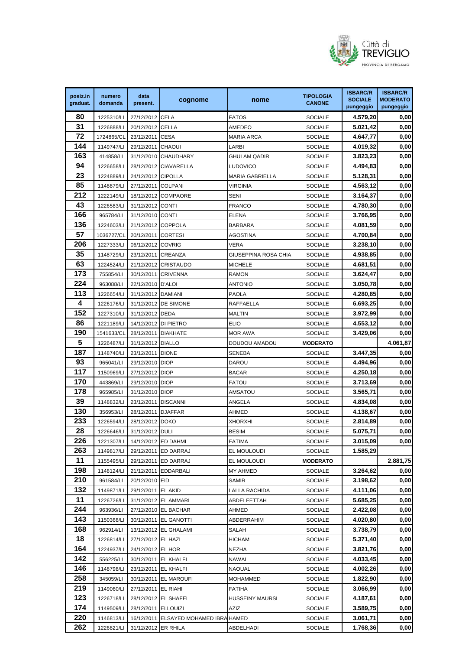

| posiz.in  | numero                  | data                           |                                               |                        | <b>TIPOLOGIA</b>                 | <b>ISBARC/R</b>             | <b>ISBARC/R</b>              |
|-----------|-------------------------|--------------------------------|-----------------------------------------------|------------------------|----------------------------------|-----------------------------|------------------------------|
| graduat.  | domanda                 | present.                       | cognome                                       | nome                   | <b>CANONE</b>                    | <b>SOCIALE</b><br>pungeggio | <b>MODERATO</b><br>pungeggio |
| 80        | 1225310/LI              | 27/12/2012 CELA                |                                               | <b>FATOS</b>           | <b>SOCIALE</b>                   | 4.579,20                    | 0,00                         |
| 31        | 1226888/LI              | 20/12/2012 CELLA               |                                               | AMEDEO                 | <b>SOCIALE</b>                   | 5.021,42                    | 0,00                         |
| 72        | 1724865/CL              | 23/12/2011                     | <b>CESA</b>                                   | MARIA ARCA             | <b>SOCIALE</b>                   | 4.647,77                    | 0,00                         |
| 144       | 1149747/LI              | 29/12/2011                     | <b>CHAOUI</b>                                 | LARBI                  | <b>SOCIALE</b>                   | 4.019,32                    | 0,00                         |
| 163       | 414858/LI               |                                | 31/12/2010 CHAUDHARY                          | <b>GHULAM QADIR</b>    | <b>SOCIALE</b>                   | 3.823,23                    | 0,00                         |
| 94        | 1226658/LI              |                                | 28/12/2012 CIAVARELLA                         | LUDOVICO               | <b>SOCIALE</b>                   | 4.494,83                    | 0,00                         |
| 23        | 1224889/LI              | 24/12/2012 CIPOLLA             |                                               | MARIA GABRIELLA        | <b>SOCIALE</b>                   | 5.128,31                    | 0,00                         |
| 85        | 1148879/LI              | 27/12/2011                     | <b>COLPANI</b>                                | VIRGINIA               | <b>SOCIALE</b>                   | 4.563,12                    | 0,00                         |
| 212       | 1222149/LI              |                                | 18/12/2012 COMPAORE                           | <b>SENI</b>            | <b>SOCIALE</b>                   | 3.164,37                    | 0,00                         |
| 43        | 1226583/LI              | 31/12/2012 CONTI               |                                               | <b>FRANCO</b>          | <b>SOCIALE</b>                   | 4.780,30                    | 0,00                         |
| 166       | 965784/LI               | 31/12/2010 CONTI               |                                               | ELENA                  | <b>SOCIALE</b>                   | 3.766,95                    | 0,00                         |
| 136       | 1224603/LI              | 21/12/2012 COPPOLA             |                                               | <b>BARBARA</b>         | <b>SOCIALE</b>                   | 4.081,59                    | 0,00                         |
| 57        | 1036727/CL              | 20/12/2011 CORTESI             |                                               | AGOSTINA               | <b>SOCIALE</b>                   | 4.700,84                    | 0,00                         |
| 206       | 1227333/LI              | 06/12/2012 COVRIG              |                                               | VERA                   | <b>SOCIALE</b>                   | 3.238,10                    | 0,00                         |
| 35        | 1148729/LI              | 23/12/2011 CREANZA             |                                               | GIUSEPPINA ROSA CHIA   | <b>SOCIALE</b>                   | 4.938,85                    | 0,00                         |
| 63        | 1224524/LI              |                                | 21/12/2012 CRISTAUDO                          | <b>MICHELE</b>         | SOCIALE                          | 4.681,51                    | 0,00                         |
| 173       | 755854/LI               | 30/12/2011 CRIVENNA            |                                               | <b>RAMON</b>           | <b>SOCIALE</b>                   | 3.624,47                    | 0,00                         |
| 224       | 963088/LI               | 22/12/2010 D'ALOI              |                                               | ANTONIO                | <b>SOCIALE</b>                   | 3.050,78                    | 0,00                         |
| 113       | 1226654/LI              | 31/12/2012 DAMIANI             |                                               | <b>PAOLA</b>           | <b>SOCIALE</b>                   | 4.280,85                    | 0,00                         |
| 4         | 1226176/LI              |                                | 31/12/2012 DE SIMONE                          | RAFFAELLA              | <b>SOCIALE</b>                   | 6.693,25                    | 0,00                         |
| 152       | 1227310/LI              | 31/12/2012 DEDA                |                                               | <b>MALTIN</b>          | <b>SOCIALE</b>                   | 3.972,99                    | 0,00                         |
| 86        | 1221189/LI              | 14/12/2012 DI PIETRO           |                                               | <b>ELIO</b>            | <b>SOCIALE</b>                   | 4.553,12                    | 0,00                         |
| 190       | 1541633/CL              | 28/12/2011                     | <b>DIAKHATE</b>                               | MOR AWA                | <b>SOCIALE</b>                   | 3.429,06                    | 0,00                         |
| 5         | 1226487/LI              | 31/12/2012 DIALLO              |                                               | DOUDOU AMADOU          | <b>MODERATO</b>                  |                             | 4.061,87                     |
| 187       | 1148740/LI              | 23/12/2011 DIONE               |                                               | <b>SENEBA</b>          | <b>SOCIALE</b>                   | 3.447,35                    | 0,00                         |
| 93        | 965041/LI               | 29/12/2010 DIOP                |                                               | Darou                  | <b>SOCIALE</b>                   | 4.494,96                    | 0,00                         |
| 117       | 1150969/LI              | 27/12/2012 DIOP                |                                               | <b>BACAR</b>           | <b>SOCIALE</b>                   | 4.250,18                    | 0,00                         |
| 170       | 443869/LI               | 29/12/2010 DIOP                |                                               | <b>FATOU</b>           | <b>SOCIALE</b>                   | 3.713,69                    | 0,00                         |
| 178       | 965985/LI               | 31/12/2010 DIOP                |                                               | AMSATOU                | <b>SOCIALE</b>                   | 3.565,71                    | 0,00                         |
| 39        | 1148832/LI              | 23/12/2011 DISCANNI            |                                               | ANGELA                 | <b>SOCIALE</b>                   | 4.834,08                    | 0,00                         |
| 130       | 356953/LI               | 28/12/2011 DJAFFAR             |                                               | AHMED                  | <b>SOCIALE</b>                   | 4.138,67                    | 0,00                         |
| 233       | 1226594/LI              | 28/12/2012 DOKO                |                                               | XHORXHI                | <b>SOCIALE</b>                   | 2.814,89                    | 0,00                         |
| 28        | 1226646/LI              | 31/12/2012 DULI                |                                               | <b>BESIM</b>           | <b>SOCIALE</b>                   | 5.075,71                    | $\mathbf{0{,}00}$            |
| 226       | 1221307/LI              | 14/12/2012 ED DAHMI            |                                               | FATIMA                 | <b>SOCIALE</b>                   | 3.015,09                    | 0,00                         |
| 263       | 1149817/LI              |                                | 29/12/2011 ED DARRAJ                          | EL MOULOUDI            | <b>SOCIALE</b>                   | 1.585,29                    |                              |
| 11        | 1155495/LI              |                                | 29/12/2011 ED DARRAJ                          | EL MOULOUDI            | <b>MODERATO</b>                  |                             | 2.881,75                     |
| 198       | 1148124/LI              |                                | 21/12/2011 EDDARBALI                          | MY AHMED               | <b>SOCIALE</b>                   | 3.264,62                    | 0,00                         |
| 210       | 961584/LI               | 20/12/2010 EID                 |                                               | SAMIR                  | <b>SOCIALE</b>                   | 3.198,62                    | 0,00                         |
| 132       | 1149871/LI              | 29/12/2011 EL AKID             |                                               | LALLA RACHIDA          | <b>SOCIALE</b>                   | 4.111,06                    | 0,00                         |
| 11<br>244 | 1226726/LI              |                                | 31/12/2012 EL AMMARI                          | ABDELFETTAH            | <b>SOCIALE</b>                   | 5.685,25                    | 0,00                         |
| 143       | 963936/LI<br>1150368/LI |                                | 27/12/2010 EL BACHAR<br>30/12/2011 EL GANOTTI | AHMED<br>ABDERRAHIM    | <b>SOCIALE</b>                   | 2.422,08<br>4.020,80        | 0,00<br>0,00                 |
| 168       | 962914/LI               |                                | 13/12/2012 EL GHALAMI                         |                        | <b>SOCIALE</b><br><b>SOCIALE</b> | 3.738,79                    | 0,00                         |
| 18        | 1226814/LI              | 27/12/2012 EL HAZI             |                                               | SALAH<br>HICHAM        | <b>SOCIALE</b>                   | 5.371,40                    | 0,00                         |
| 164       | 1224937/LI              | 24/12/2012 EL HOR              |                                               | NEZHA                  | <b>SOCIALE</b>                   | 3.821,76                    | 0,00                         |
| 142       | 556225/LI               |                                | 30/12/2011 EL KHALFI                          | NAWAL                  | <b>SOCIALE</b>                   | 4.033,45                    | 0,00                         |
| 146       | 1148798/LI              | 23/12/2011 EL KHALFI           |                                               | NAOUAL                 | <b>SOCIALE</b>                   | 4.002,26                    | 0,00                         |
| 258       | 345059/LI               |                                | 30/12/2011 EL MAROUFI                         | MOHAMMED               | <b>SOCIALE</b>                   | 1.822,90                    | 0,00                         |
| 219       | 1149060/LI              | 27/12/2011 EL RIAHI            |                                               | FATIHA                 | <b>SOCIALE</b>                   | 3.066,99                    | 0,00                         |
| 123       | 1226718/LI              |                                | 28/12/2012 EL SHAFEI                          | <b>HUSSEINY MAURSI</b> | <b>SOCIALE</b>                   | 4.187,61                    | 0,00                         |
| 174       | 1149509/LI              | 28/12/2011 ELLOUIZI            |                                               | AZIZ                   | <b>SOCIALE</b>                   | 3.589,75                    | 0,00                         |
| 220       | 1146813/LI              |                                | 16/12/2011 ELSAYED MOHAMED IBRA HAMED         |                        | <b>SOCIALE</b>                   | 3.061,71                    | 0,00                         |
| 262       |                         | 1226821/LI 31/12/2012 ER RHILA |                                               | ABDELHADI              | <b>SOCIALE</b>                   | 1.768,36                    | 0,00                         |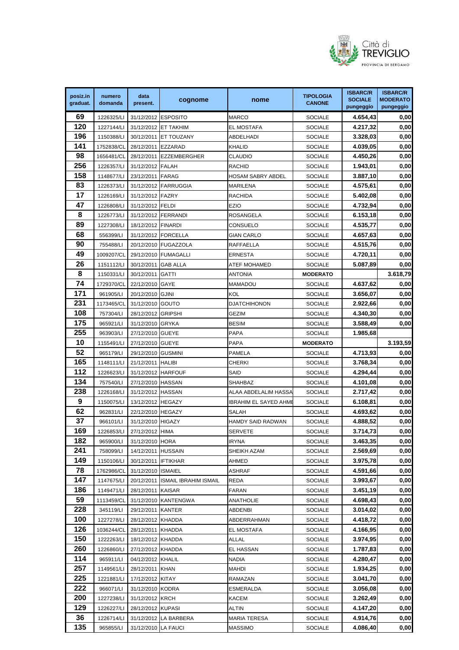

| posiz.in | numero     | data                | cognome                          | nome                  | <b>TIPOLOGIA</b> | <b>ISBARC/R</b><br><b>SOCIALE</b> | <b>ISBARC/R</b><br><b>MODERATO</b> |
|----------|------------|---------------------|----------------------------------|-----------------------|------------------|-----------------------------------|------------------------------------|
| graduat. | domanda    | present.            |                                  |                       | <b>CANONE</b>    | pungeggio                         | pungeggio                          |
| 69       | 1226325/LI | 31/12/2012 ESPOSITO |                                  | MARCO                 | <b>SOCIALE</b>   | 4.654,43                          | 0,00                               |
| 120      | 1227144/LI |                     | 31/12/2012 ET TAKHIM             | <b>EL MOSTAFA</b>     | <b>SOCIALE</b>   | 4.217,32                          | 0,00                               |
| 196      | 1150388/LI |                     | 30/12/2011 ET TOUZANY            | ABDELHADI             | <b>SOCIALE</b>   | 3.328,03                          | 0,00                               |
| 141      | 1752838/CL | 28/12/2011 EZZARAD  |                                  | KHALID                | <b>SOCIALE</b>   | 4.039,05                          | 0,00                               |
| 98       | 1656481/CL |                     | 28/12/2011 EZZEMBERGHER          | CLAUDIO               | <b>SOCIALE</b>   | 4.450,26                          | 0,00                               |
| 256      | 1226357/LI | 31/12/2012 FALAH    |                                  | RACHID                | <b>SOCIALE</b>   | 1.943,01                          | 0,00                               |
| 158      | 1148677/LI | 23/12/2011 FARAG    |                                  | HOSAM SABRY ABDEL     | <b>SOCIALE</b>   | 3.887,10                          | 0,00                               |
| 83       | 1226373/LI |                     | 31/12/2012 FARRUGGIA             | MARILENA              | <b>SOCIALE</b>   | 4.575,61                          | 0,00                               |
| 17       | 1226169/LI | 31/12/2012 FAZRY    |                                  | RACHIDA               | <b>SOCIALE</b>   | 5.402,08                          | 0,00                               |
| 47       | 1226808/LI | 31/12/2012 FELDI    |                                  | EZIO                  | <b>SOCIALE</b>   | 4.732,94                          | 0,00                               |
| 8        | 1226773/LI |                     | 31/12/2012 FERRANDI              | ROSANGELA             | <b>SOCIALE</b>   | 6.153,18                          | 0,00                               |
| 89       | 1227308/LI | 18/12/2012 FINARDI  |                                  | CONSUELO              | <b>SOCIALE</b>   | 4.535,77                          | 0,00                               |
| 68       | 556399/LI  |                     | 31/12/2012 FORCELLA              | <b>GIAN CARLO</b>     | <b>SOCIALE</b>   | 4.657,63                          | 0,00                               |
| 90       | 755488/LI  |                     | 20/12/2010 FUGAZZOLA             | RAFFAELLA             | <b>SOCIALE</b>   | 4.515,76                          | 0,00                               |
| 49       | 1009207/CL |                     | 29/12/2010 FUMAGALLI             | ERNESTA               | <b>SOCIALE</b>   | 4.720,11                          | 0,00                               |
| 26       | 1151112/LI | 30/12/2011 GAB ALLA |                                  | ATEF MOHAMED          | <b>SOCIALE</b>   | 5.087,89                          | 0,00                               |
| 8        | 1150331/LI | 30/12/2011 GATTI    |                                  | <b>ANTONIA</b>        | <b>MODERATO</b>  |                                   | 3.618,79                           |
| 74       | 1729370/CL | 22/12/2010 GAYE     |                                  | MAMADOU               | <b>SOCIALE</b>   | 4.637,62                          | 0,00                               |
| 171      | 961905/LI  | 20/12/2010 GJINI    |                                  | KOL                   | <b>SOCIALE</b>   | 3.656,07                          | 0,00                               |
| 231      | 1173465/CL | 31/12/2010 GOUTO    |                                  | DJATCHIHONON          | <b>SOCIALE</b>   | 2.922,66                          | 0,00                               |
| 108      | 757304/LI  | 28/12/2012 GRIPSHI  |                                  | GEZIM                 | <b>SOCIALE</b>   | 4.340,30                          | 0,00                               |
| 175      | 965921/LI  | 31/12/2010 GRYKA    |                                  | BESIM                 | <b>SOCIALE</b>   | 3.588,49                          | 0,00                               |
| 255      | 963903/LI  | 27/12/2010 GUEYE    |                                  | PAPA                  | <b>SOCIALE</b>   | 1.985,68                          |                                    |
| 10       | 1155491/LI | 27/12/2010 GUEYE    |                                  | PAPA                  | <b>MODERATO</b>  |                                   | 3.193,59                           |
| 52       | 965179/LI  | 29/12/2010 GUSMINI  |                                  | PAMELA                | <b>SOCIALE</b>   | 4.713,93                          | 0,00                               |
| 165      | 1148111/LI | 21/12/2011 HALIBI   |                                  | CHERKI                | <b>SOCIALE</b>   | 3.768,34                          | 0,00                               |
| 112      | 1226623/LI | 31/12/2012 HARFOUF  |                                  | SAID                  | <b>SOCIALE</b>   | 4.294,44                          | 0,00                               |
| 134      | 757540/LI  | 27/12/2010 HASSAN   |                                  | SHAHBAZ               | <b>SOCIALE</b>   | 4.101,08                          | 0,00                               |
| 238      | 1226168/LI | 31/12/2012 HASSAN   |                                  | ALAA ABDELALIM HASSA  | <b>SOCIALE</b>   | 2.717,42                          | 0,00                               |
| 9        | 1150075/LI | 13/12/2012 HEGAZY   |                                  | IBRAHIM EL SAYED AHME | <b>SOCIALE</b>   | 6.108,81                          | 0,00                               |
| 62       | 962831/LI  | 22/12/2010 HEGAZY   |                                  | SALAH                 | <b>SOCIALE</b>   | 4.693,62                          | 0,00                               |
| 37       | 966101/LI  | 31/12/2010 HIGAZY   |                                  | HAMDY SAID RADWAN     | <b>SOCIALE</b>   | 4.888,52                          | 0,00                               |
| 169      | 1226853/LI | 27/12/2012 HIMA     |                                  | <b>SERVETE</b>        | <b>SOCIALE</b>   | 3.714,73                          | 0.00                               |
| 182      | 965900/LI  | 31/12/2010 HORA     |                                  | IRYNA                 | <b>SOCIALE</b>   | 3.463,35                          | 0,00                               |
| 241      | 758099/LI  | 14/12/2011 HUSSAIN  |                                  | SHEIKH AZAM           | <b>SOCIALE</b>   | 2.569,69                          | 0,00                               |
| 149      | 1150106/LI | 30/12/2011 IFTIKHAR |                                  | AHMED                 | <b>SOCIALE</b>   | 3.975,78                          | 0,00                               |
| 78       | 1762986/CL | 31/12/2010 ISMAIEL  |                                  | <b>ASHRAF</b>         | <b>SOCIALE</b>   | 4.591,66                          | 0,00                               |
| 147      | 1147675/LI |                     | 20/12/2011 ISMAIL IBRAHIM ISMAIL | REDA                  | <b>SOCIALE</b>   | 3.993,67                          | 0,00                               |
| 186      | 1149471/LI | 28/12/2011 KAISAR   |                                  | FARAN                 | <b>SOCIALE</b>   | 3.451,19                          | 0,00                               |
| 59       | 1113459/CL |                     | 31/12/2010 KANTENGWA             | ANATHOLIE             | <b>SOCIALE</b>   | 4.698,43                          | 0,00                               |
| 228      | 345119/LI  | 29/12/2011 KANTER   |                                  | ABDENBI               | <b>SOCIALE</b>   | 3.014,02                          | 0,00                               |
| 100      | 1227278/LI | 28/12/2012 KHADDA   |                                  | ABDERRAHMAN           | <b>SOCIALE</b>   | 4.418,72                          | 0,00                               |
| 126      | 1036244/CL | 28/12/2011 KHADDA   |                                  | EL MOSTAFA            | <b>SOCIALE</b>   | 4.166,95                          | 0,00                               |
| 150      | 1222263/LI | 18/12/2012 KHADDA   |                                  | ALLAL                 | <b>SOCIALE</b>   | 3.974,95                          | 0,00                               |
| 260      | 1226860/LI | 27/12/2012 KHADDA   |                                  | EL HASSAN             | <b>SOCIALE</b>   | 1.787,83                          | 0,00                               |
| 114      | 965911/LI  | 04/12/2012 KHALIL   |                                  | NADIA                 | <b>SOCIALE</b>   | 4.280,47                          | 0,00                               |
| 257      | 1149561/LI | 28/12/2011 KHAN     |                                  | MAHDI                 | <b>SOCIALE</b>   | 1.934,25                          | 0,00                               |
| 225      | 1221881/LI | 17/12/2012 KITAY    |                                  | RAMAZAN               | <b>SOCIALE</b>   | 3.041,70                          | 0,00                               |
| 222      | 966071/LI  | 31/12/2010 KODRA    |                                  | ESMERALDA             | <b>SOCIALE</b>   | 3.056,08                          | 0,00                               |
| 200      | 1227238/LI | 31/12/2012 KRCH     |                                  | KACEM                 | <b>SOCIALE</b>   | 3.262,49                          | 0,00                               |
| 129      | 1226227/LI | 28/12/2012 KUPASI   |                                  | ALTIN                 | <b>SOCIALE</b>   | 4.147,20                          | 0,00                               |
| 36       | 1226714/LI |                     | 31/12/2012 LA BARBERA            | MARIA TERESA          | <b>SOCIALE</b>   | 4.914,76                          | 0,00                               |
| 135      | 965855/LI  | 31/12/2010 LA FAUCI |                                  | MASSIMO               | <b>SOCIALE</b>   | 4.086,40                          | 0,00                               |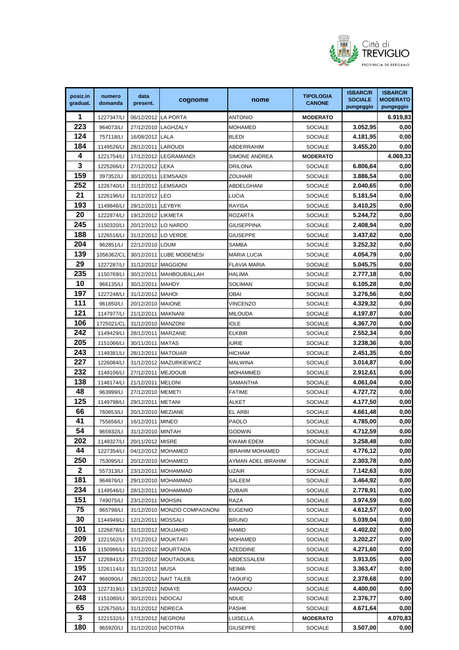

| posiz.in                | numero     | data                | cognome                      | nome                | <b>TIPOLOGIA</b> | <b>ISBARC/R</b><br><b>SOCIALE</b> | <b>ISBARC/R</b><br><b>MODERATO</b> |
|-------------------------|------------|---------------------|------------------------------|---------------------|------------------|-----------------------------------|------------------------------------|
| graduat.                | domanda    | present.            |                              |                     | <b>CANONE</b>    | pungeggio                         | pungeggio                          |
| 1                       | 1227347/LI | 06/12/2012 LA PORTA |                              | <b>ANTONIO</b>      | <b>MODERATO</b>  |                                   | 6.919,83                           |
| 223                     | 964073/LI  |                     | 27/12/2010 LAGHZALY          | MOHAMED             | <b>SOCIALE</b>   | 3.052,95                          | 0,00                               |
| 124                     | 757118/LI  | 16/08/2012 LALA     |                              | BLEDI               | <b>SOCIALE</b>   | 4.181,95                          | 0,00                               |
| 184                     | 1149526/LI | 28/12/2011 LAROUDI  |                              | ABDERRAHIM          | <b>SOCIALE</b>   | 3.455,20                          | 0,00                               |
| 4                       | 1221754/LI |                     | 17/12/2012 LEGRAMANDI        | SIMONE ANDREA       | <b>MODERATO</b>  |                                   | 4.069,33                           |
| $\overline{\mathbf{3}}$ | 1225266/LI | 27/12/2012 LEKA     |                              | DRILONA             | <b>SOCIALE</b>   | 6.806,64                          | 0,00                               |
| 159                     | 397352/LI  | 30/12/2011 LEMSAADI |                              | ZOUHAIR             | <b>SOCIALE</b>   | 3.886,54                          | 0,00                               |
| 252                     | 1226740/LI | 31/12/2012 LEMSAADI |                              | ABDELGHANI          | <b>SOCIALE</b>   | 2.040,65                          | 0,00                               |
| 21                      | 1226196/LI | 31/12/2012 LEO      |                              | LUCIA               | <b>SOCIALE</b>   | 5.181,54                          | 0,00                               |
| 193                     | 1149846/LI | 29/12/2011 LEYBYK   |                              | RAYISA              | <b>SOCIALE</b>   | 3.410,25                          | 0,00                               |
| 20                      | 1222874/LI | 19/12/2012 LIKMETA  |                              | ROZARTA             | <b>SOCIALE</b>   | 5.244,72                          | 0,00                               |
| 245                     | 1150320/LI | 20/12/2012 LO NARDO |                              | GIUSEPPINA          | <b>SOCIALE</b>   | 2.408,94                          | 0,00                               |
| 188                     | 1226516/LI | 31/12/2012 LO VERDE |                              | GIUSEPPE            | <b>SOCIALE</b>   | 3.437,62                          | 0,00                               |
| 204                     | 962851/LI  | 22/12/2010 LOUM     |                              | SAMBA               | <b>SOCIALE</b>   | 3.252,32                          | 0,00                               |
| 139                     | 1056362/CL |                     | 30/12/2011 LUBE MODENESI     | MARIA LUCIA         | <b>SOCIALE</b>   | 4.054,79                          | 0,00                               |
| 29                      | 1227287/LI | 31/12/2012 MAGGIONI |                              | <b>FLAVIA MARIA</b> | <b>SOCIALE</b>   | 5.045,75                          | 0,00                               |
| 235                     | 1150769/LI |                     | 30/12/2011 MAHBOUBALLAH      | HALIMA              | <b>SOCIALE</b>   | 2.777,18                          | 0,00                               |
| 10                      | 966135/LI  | 30/12/2011 MAHDY    |                              | SOLIMAN             | <b>SOCIALE</b>   | 6.105,28                          | 0,00                               |
| 197                     | 1227248/LI | 31/12/2012 MAHOI    |                              | OBAI                | <b>SOCIALE</b>   | 3.276,56                          | 0,00                               |
| 111                     | 961850/LI  | 20/12/2010 MAIONE   |                              | VINCENZO            | <b>SOCIALE</b>   | 4.329,32                          | 0,00                               |
| 121                     | 1147977/LI | 21/12/2011 MAKNANI  |                              | MILOUDA             | <b>SOCIALE</b>   | 4.197,87                          | 0,00                               |
| 106                     | 1725021/CL | 31/12/2010 MANZONI  |                              | IOLE                | <b>SOCIALE</b>   | 4.367,70                          | 0,00                               |
| 242                     | 1149429/LI | 28/12/2011 MARZANE  |                              | ELKBIR              | <b>SOCIALE</b>   | 2.552,34                          | 0,00                               |
| 205                     | 1151066/LI | 30/11/2011 MATAS    |                              | IURIE               | <b>SOCIALE</b>   | 3.238,36                          | 0,00                               |
| 243                     | 1149381/LI | 28/12/2011 MATOUAR  |                              | HICHAM              | <b>SOCIALE</b>   | 2.451,35                          | 0,00                               |
| 227                     | 1226084/LI |                     | 31/12/2012 MAZURKIEWICZ      | MALWINA             | <b>SOCIALE</b>   | 3.014,87                          | 0,00                               |
| 232                     | 1149106/LI | 27/12/2011 MEJDOUB  |                              | MOHAMMED            | <b>SOCIALE</b>   | 2.912,61                          | 0,00                               |
| 138                     | 1148174/LI | 21/12/2011 MELONI   |                              | SAMANTHA            | <b>SOCIALE</b>   | 4.061,04                          | 0,00                               |
| 48                      | 963999/LI  | 27/12/2010 MEMETI   |                              | FATIME              | <b>SOCIALE</b>   | 4.727,72                          | 0,00                               |
| 125                     | 1149798/LI | 29/12/2011 METANI   |                              | ALKET               | <b>SOCIALE</b>   | 4.177,50                          | 0,00                               |
| 66                      | 760653/LI  | 20/12/2010 MEZIANE  |                              | EL ARBI             | <b>SOCIALE</b>   | 4.661,48                          | 0,00                               |
| 41                      | 755656/LI  | 16/12/2011 MINEO    |                              | PAOLO               | <b>SOCIALE</b>   | 4.785,00                          | 0,00                               |
| 54                      | 965932/LI  | 31/12/2010 MINTAH   |                              | godwin              | <b>SOCIALE</b>   | 4.712,59                          | 0.00                               |
| 202                     | 1149327/LI | 20/11/2012 MISRE    |                              | KWAMI EDEM          | <b>SOCIALE</b>   | 3.258,48                          | 0,00                               |
| 44                      | 1227354/LI | 04/12/2012 MOHAMED  |                              | IBRAHIM MOHAMED     | <b>SOCIALE</b>   | 4.776,12                          | 0,00                               |
| 250                     | 753095/LI  |                     | 20/12/2010 MOHAMED           | AYMAN ADEL IBRAHIM  | <b>SOCIALE</b>   | 2.303,78                          | 0,00                               |
| $\mathbf{2}$            | 557313/LI  |                     | 23/12/2011 MOHAMMAD          | UZAIR               | <b>SOCIALE</b>   | 7.142,63                          | 0,00                               |
| 181                     | 964876/LI  |                     | 29/12/2010 MOHAMMAD          | SALEEM              | <b>SOCIALE</b>   | 3.464,92                          | 0,00                               |
| 234                     | 1149546/LI |                     | 28/12/2011 MOHAMMAD          | ZUBAIR              | <b>SOCIALE</b>   | 2.778,91                          | 0,00                               |
| 151                     | 749075/LI  | 23/12/2011 MOHSIN   |                              | RAZA                | <b>SOCIALE</b>   | 3.974,59                          | 0,00                               |
| 75                      | 965798/LI  |                     | 31/12/2010 MONZIO COMPAGNONI | <b>EUGENIO</b>      | <b>SOCIALE</b>   | 4.612,57                          | 0,00                               |
| 30                      | 1144949/LI | 12/12/2011 MOSSALI  |                              | Bruno               | <b>SOCIALE</b>   | 5.039,04                          | 0,00                               |
| 101                     | 1226878/LI | 31/12/2012 MOUJAHID |                              | HAMID               | <b>SOCIALE</b>   | 4.402,02                          | 0,00                               |
| 209                     | 1221562/LI |                     | 17/12/2012 MOUKTAFI          | MOHAMED             | <b>SOCIALE</b>   | 3.202,27                          | 0,00                               |
| 116                     | 1150986/LI |                     | 31/12/2012 MOURTADA          | AZEDDINE            | <b>SOCIALE</b>   | 4.271,60                          | 0,00                               |
| 157                     | 1226841/LI |                     | 27/12/2012 MOUTAOUKIL        | ABDESSALEM          | <b>SOCIALE</b>   | 3.913,05                          | 0,00                               |
| 195                     | 1226114/LI | 31/12/2012 MUSA     |                              | NEIMA               | <b>SOCIALE</b>   | 3.363,47                          | 0,00                               |
| 247                     | 966090/LI  |                     | 28/12/2012 NAIT TALEB        | TAOUFIQ             | <b>SOCIALE</b>   | 2.378,68                          | 0,00                               |
| 103                     | 1227319/LI | 13/12/2012 NDIAYE   |                              | AMADOU              | <b>SOCIALE</b>   | 4.400,00                          | 0,00                               |
| 248                     | 1151080/LI | 30/12/2011 NDOCAJ   |                              | NDUE                | <b>SOCIALE</b>   | 2.376,77                          | 0,00                               |
| 65                      | 1226750/LI | 31/12/2012 NDRECA   |                              | PASHK               | <b>SOCIALE</b>   | 4.671,64                          | 0,00                               |
| 3                       | 1221532/LI | 17/12/2012 NEGRONI  |                              | LUISELLA            | <b>MODERATO</b>  |                                   | 4.070,83                           |
| 180                     | 965920/LI  | 31/12/2010 NICOTRA  |                              | GIUSEPPE            | <b>SOCIALE</b>   | 3.507,00                          | 0,00                               |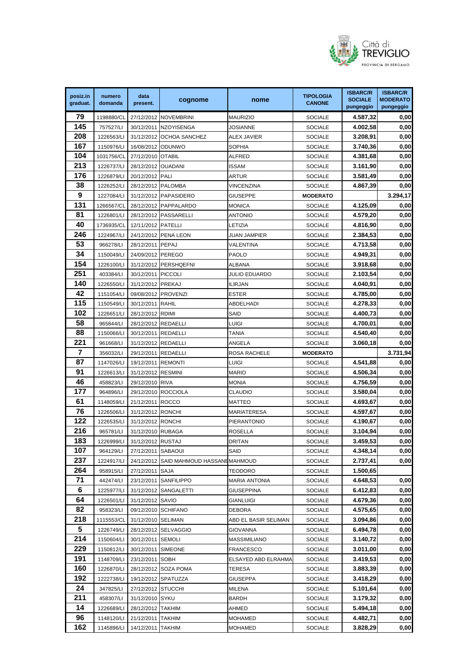

| posiz.in | numero     | data                          |                                        |                      | <b>TIPOLOGIA</b> | <b>ISBARC/R</b>             | <b>ISBARC/R</b>              |
|----------|------------|-------------------------------|----------------------------------------|----------------------|------------------|-----------------------------|------------------------------|
| graduat. | domanda    | present.                      | cognome                                | nome                 | <b>CANONE</b>    | <b>SOCIALE</b><br>pungeggio | <b>MODERATO</b><br>pungeggio |
| 79       | 1198880/CL |                               | 27/12/2012 NOVEMBRINI                  | <b>MAURIZIO</b>      | <b>SOCIALE</b>   | 4.587,32                    | 0,00                         |
| 145      | 757527/LI  |                               | 30/12/2011 NZOYISENGA                  | JOSIANNE             | <b>SOCIALE</b>   | 4.002,58                    | 0,00                         |
| 208      | 1226563/LI |                               | 31/12/2012 OCHOA SANCHEZ               | ALEX JAVIER          | <b>SOCIALE</b>   | 3.208,91                    | 0,00                         |
| 167      | 1150976/LI | 16/08/2012 ODUNWO             |                                        | SOPHIA               | <b>SOCIALE</b>   | 3.740,36                    | 0,00                         |
| 104      | 1031756/CL | 27/12/2010 OTABIL             |                                        | ALFRED               | <b>SOCIALE</b>   | 4.381,68                    | 0,00                         |
| 213      | 1226737/LI | 28/12/2012 OUADANI            |                                        | ISSAM                | <b>SOCIALE</b>   | 3.161,90                    | 0,00                         |
| 176      | 1226879/LI | 20/12/2012 PALI               |                                        | ARTUR                | <b>SOCIALE</b>   | 3.581,49                    | 0,00                         |
| 38       | 1226252/LI | 28/12/2012 PALOMBA            |                                        | VINCENZINA           | <b>SOCIALE</b>   | 4.867,39                    | 0,00                         |
| 9        | 1227084/LI |                               | 31/12/2012 PAPASIDERO                  | <b>GIUSEPPE</b>      | <b>MODERATO</b>  |                             | 3.294,17                     |
| 131      | 1266567/CL |                               | 28/12/2012 PAPPALARDO                  | <b>MONICA</b>        | <b>SOCIALE</b>   | 4.125,09                    | 0,00                         |
| 81       | 1226801/LI |                               | 28/12/2012 PASSARELLI                  | ANTONIO              | <b>SOCIALE</b>   | 4.579,20                    | 0,00                         |
| 40       | 1736935/CL | 12/11/2012 PATELLI            |                                        | LETIZIA              | <b>SOCIALE</b>   | 4.816,90                    | 0,00                         |
| 246      | 1224967/LI |                               | 24/12/2012 PENA LEON                   | <b>JUAN JAMPIER</b>  | <b>SOCIALE</b>   | 2.384,53                    | 0,00                         |
| 53       | 966278/LI  | 28/12/2011 PEPAJ              |                                        | VALENTINA            | <b>SOCIALE</b>   | 4.713,58                    | 0,00                         |
| 34       | 1150049/LI | 24/09/2012 PEREGO             |                                        | PAOLO                | <b>SOCIALE</b>   | 4.949,31                    | 0,00                         |
| 154      | 1226100/LI |                               | 31/12/2012 PERSHQEFNI                  | ALBANA               | <b>SOCIALE</b>   | 3.918,68                    | 0,00                         |
| 251      | 403384/LI  | 30/12/2011 PICCOLI            |                                        | <b>JULIO EDUARDO</b> | <b>SOCIALE</b>   | 2.103,54                    | 0,00                         |
| 140      | 1226550/LI | 31/12/2012 PREKAJ             |                                        | ILIRJAN              | <b>SOCIALE</b>   | 4.040,91                    | 0,00                         |
| 42       | 1151054/LI |                               | 09/08/2012 PROVENZI                    | ESTER                | <b>SOCIALE</b>   | 4.785,00                    | 0,00                         |
| 115      | 1150549/LI | 30/12/2011 RAHIL              |                                        | ABDELHADI            | <b>SOCIALE</b>   | 4.278,33                    | 0,00                         |
| 102      | 1226651/LI | 28/12/2012 RDIMI              |                                        | SAID                 | <b>SOCIALE</b>   | 4.400,73                    | 0,00                         |
| 58       | 965844/LI  | 28/12/2012 REDAELLI           |                                        | LUIGI                | <b>SOCIALE</b>   | 4.700,01                    | 0,00                         |
| 88       | 1150066/LI | 30/12/2011 REDAELLI           |                                        | TANIA                | <b>SOCIALE</b>   | 4.540,40                    | 0,00                         |
| 221      | 961668/LI  | 31/12/2012 REDAELLI           |                                        | ANGELA               | <b>SOCIALE</b>   | 3.060,18                    | 0,00                         |
| 7        | 356032/LI  | 29/12/2011 REDAELLI           |                                        | ROSA RACHELE         | <b>MODERATO</b>  |                             | 3.731,94                     |
| 87       | 1147026/LI | 19/12/2011 REMONTI            |                                        | LUIGI                | <b>SOCIALE</b>   | 4.541,88                    | 0,00                         |
| 91       | 1226613/LI | 31/12/2012 RESMINI            |                                        | <b>MARIO</b>         | <b>SOCIALE</b>   | 4.506,34                    | 0,00                         |
| 46       | 458823/LI  | 29/12/2010 RIVA               |                                        | monia                | <b>SOCIALE</b>   | 4.756,59                    | 0,00                         |
| 177      | 964896/LI  |                               | 29/12/2010 ROCCIOLA                    | CLAUDIO              | <b>SOCIALE</b>   | 3.580,04                    | 0,00                         |
| 61       | 1148059/LI | 21/12/2011 ROCCO              |                                        | MATTEO               | <b>SOCIALE</b>   | 4.693,67                    | 0,00                         |
| 76       | 1226506/LI | 31/12/2012 RONCHI             |                                        | MARIATERESA          | <b>SOCIALE</b>   | 4.597,67                    | 0,00                         |
| 122      | 1226535/LI | 31/12/2012 RONCHI             |                                        | PIERANTONIO          | <b>SOCIALE</b>   | 4.190,67                    | 0,00                         |
| 216      | 965781/LI  | 31/12/2010 RUBAGA             |                                        | <b>ROSELLA</b>       | <b>SOCIALE</b>   | 3.104,94                    | 0,00                         |
| 183      | 1226999/LI | 31/12/2012 RUSTAJ             |                                        | DRITAN               | <b>SOCIALE</b>   | 3.459,53                    | 0,00                         |
| 107      | 964129/LI  | 27/12/2011 SABAOUI            |                                        | SAID                 | <b>SOCIALE</b>   | 4.348,14                    | 0,00                         |
| 237      | 1224917/LI |                               | 24/12/2012 SAID MAHMOUD HASSANEMAHMOUD |                      | <b>SOCIALE</b>   | 2.737,41                    | 0,00                         |
| 264      | 958915/LI  | 27/12/2011 SAJA               |                                        | TEODORO              | <b>SOCIALE</b>   | 1.500,65                    |                              |
| 71       | 442474/LI  |                               | 23/12/2011 SANFILIPPO                  | MARIA ANTONIA        | <b>SOCIALE</b>   | 4.648,53                    | 0,00                         |
| 6        | 1225977/LI |                               | 31/12/2012 SANGALETTI                  | GIUSEPPINA           | <b>SOCIALE</b>   | 6.412,83                    | 0,00                         |
| 64       | 1226501/LI | 31/12/2012 SAVIO              |                                        | GIANLUIGI            | <b>SOCIALE</b>   | 4.679,36                    | 0,00                         |
| 82       | 958323/LI  |                               | 09/12/2010 SCHIFANO                    | DEBORA               | <b>SOCIALE</b>   | 4.575,65                    | 0,00                         |
| 218      | 1115553/CL | 31/12/2010 SELIMAN            |                                        | ABD EL BASIR SELIMAN | <b>SOCIALE</b>   | 3.094,86                    | 0,00                         |
| 5        | 1226749/LI |                               | 28/12/2012 SELVAGGIO                   | GIOVANNA             | <b>SOCIALE</b>   | 6.494,78                    | 0,00                         |
| 214      | 1150604/LI | 30/12/2011 SEMOLI             |                                        | MASSIMILIANO         | <b>SOCIALE</b>   | 3.140,72                    | 0,00                         |
| 229      | 1150812/LI | 30/12/2011 SIMEONE            |                                        | FRANCESCO            | <b>SOCIALE</b>   | 3.011,00                    | 0,00                         |
| 191      | 1148709/LI | 23/12/2011 SOBH               |                                        | ELSAYED ABD ELRAHMA  | <b>SOCIALE</b>   | 3.419,53                    | 0,00                         |
| 160      | 1226870/LI |                               | 28/12/2012 SOZA POMA                   | TERESA               | <b>SOCIALE</b>   | 3.883,39                    | 0,00                         |
| 192      | 1222738/LI |                               | 19/12/2012 SPATUZZA                    | GIUSEPPA             | <b>SOCIALE</b>   | 3.418,29                    | 0,00                         |
| 24       | 347825/LI  | 27/12/2012 STUCCHI            |                                        | MILENA               | <b>SOCIALE</b>   | 5.101,64                    | 0,00                         |
| 211      | 458307/LI  | 31/12/2010 SYKU               |                                        | BARDH                | <b>SOCIALE</b>   | 3.179,32                    | 0,00                         |
| 14       | 1226689/LI | 28/12/2012 TAKHIM             |                                        | AHMED                | <b>SOCIALE</b>   | 5.494,18                    | 0,00                         |
| 96       | 1148120/LI | 21/12/2011 TAKHIM             |                                        | MOHAMED              | <b>SOCIALE</b>   | 4.482,71                    | 0,00                         |
| 162      |            | 1145896/LI  14/12/2011 TAKHIM |                                        | MOHAMED              | <b>SOCIALE</b>   | 3.828,29                    | 0,00                         |